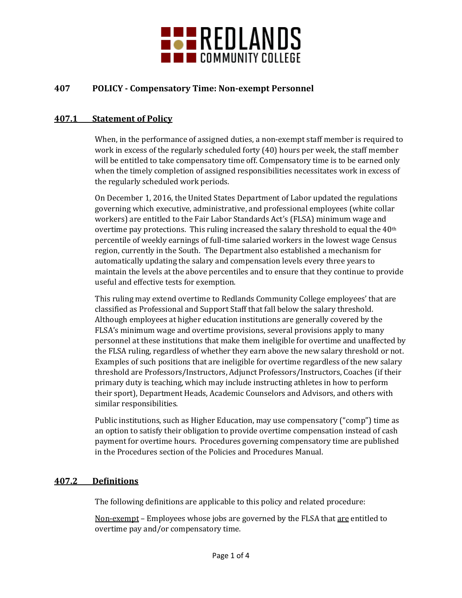

## **407 POLICY - Compensatory Time: Non-exempt Personnel**

## **407.1 Statement of Policy**

When, in the performance of assigned duties, a non-exempt staff member is required to work in excess of the regularly scheduled forty (40) hours per week, the staff member will be entitled to take compensatory time off. Compensatory time is to be earned only when the timely completion of assigned responsibilities necessitates work in excess of the regularly scheduled work periods.

On December 1, 2016, the United States Department of Labor updated the regulations governing which executive, administrative, and professional employees (white collar workers) are entitled to the Fair Labor Standards Act's (FLSA) minimum wage and overtime pay protections. This ruling increased the salary threshold to equal the  $40<sup>th</sup>$ percentile of weekly earnings of full-time salaried workers in the lowest wage Census region, currently in the South. The Department also established a mechanism for automatically updating the salary and compensation levels every three years to maintain the levels at the above percentiles and to ensure that they continue to provide useful and effective tests for exemption.

This ruling may extend overtime to Redlands Community College employees' that are classified as Professional and Support Staff that fall below the salary threshold. Although employees at higher education institutions are generally covered by the FLSA's minimum wage and overtime provisions, several provisions apply to many personnel at these institutions that make them ineligible for overtime and unaffected by the FLSA ruling, regardless of whether they earn above the new salary threshold or not. Examples of such positions that are ineligible for overtime regardless of the new salary threshold are Professors/Instructors, Adjunct Professors/Instructors, Coaches (if their primary duty is teaching, which may include instructing athletes in how to perform their sport), Department Heads, Academic Counselors and Advisors, and others with similar responsibilities.

Public institutions, such as Higher Education, may use compensatory ("comp") time as an option to satisfy their obligation to provide overtime compensation instead of cash payment for overtime hours. Procedures governing compensatory time are published in the Procedures section of the Policies and Procedures Manual.

#### **407.2 Definitions**

The following definitions are applicable to this policy and related procedure:

Non-exempt – Employees whose jobs are governed by the FLSA that are entitled to overtime pay and/or compensatory time.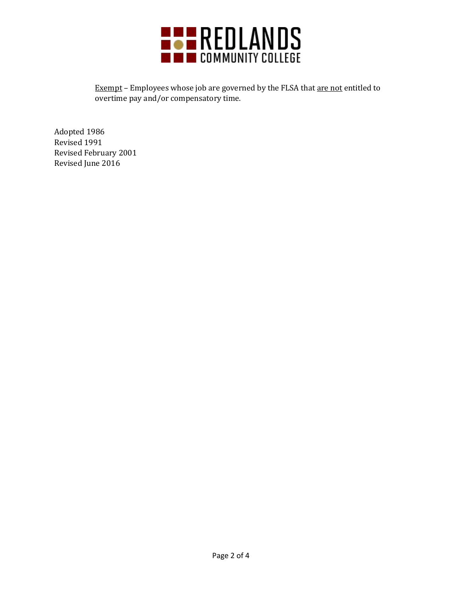

Exempt – Employees whose job are governed by the FLSA that are not entitled to overtime pay and/or compensatory time.

Adopted 1986 Revised 1991 Revised February 2001 Revised June 2016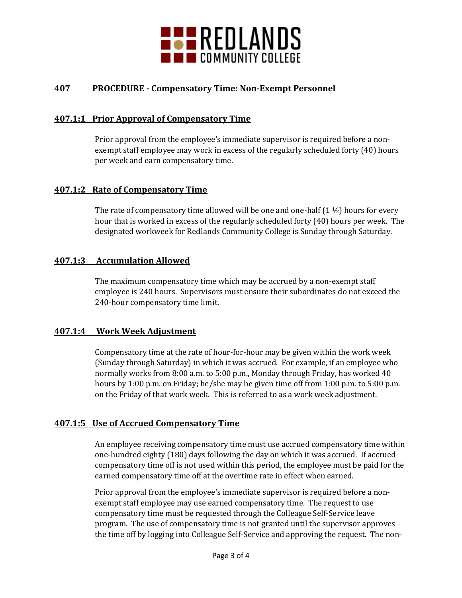

# **407 PROCEDURE - Compensatory Time: Non-Exempt Personnel**

#### **407.1:1 Prior Approval of Compensatory Time**

Prior approval from the employee's immediate supervisor is required before a nonexempt staff employee may work in excess of the regularly scheduled forty (40) hours per week and earn compensatory time.

## **407.1:2 Rate of Compensatory Time**

The rate of compensatory time allowed will be one and one-half  $(1 \frac{1}{2})$  hours for every hour that is worked in excess of the regularly scheduled forty (40) hours per week. The designated workweek for Redlands Community College is Sunday through Saturday.

## **407.1:3 Accumulation Allowed**

The maximum compensatory time which may be accrued by a non-exempt staff employee is 240 hours. Supervisors must ensure their subordinates do not exceed the 240-hour compensatory time limit.

#### **407.1:4 Work Week Adjustment**

Compensatory time at the rate of hour-for-hour may be given within the work week (Sunday through Saturday) in which it was accrued. For example, if an employee who normally works from 8:00 a.m. to 5:00 p.m., Monday through Friday, has worked 40 hours by 1:00 p.m. on Friday; he/she may be given time off from 1:00 p.m. to 5:00 p.m. on the Friday of that work week. This is referred to as a work week adjustment.

#### **407.1:5 Use of Accrued Compensatory Time**

An employee receiving compensatory time must use accrued compensatory time within one-hundred eighty (180) days following the day on which it was accrued. If accrued compensatory time off is not used within this period, the employee must be paid for the earned compensatory time off at the overtime rate in effect when earned.

Prior approval from the employee's immediate supervisor is required before a nonexempt staff employee may use earned compensatory time. The request to use compensatory time must be requested through the Colleague Self-Service leave program. The use of compensatory time is not granted until the supervisor approves the time off by logging into Colleague Self-Service and approving the request. The non-